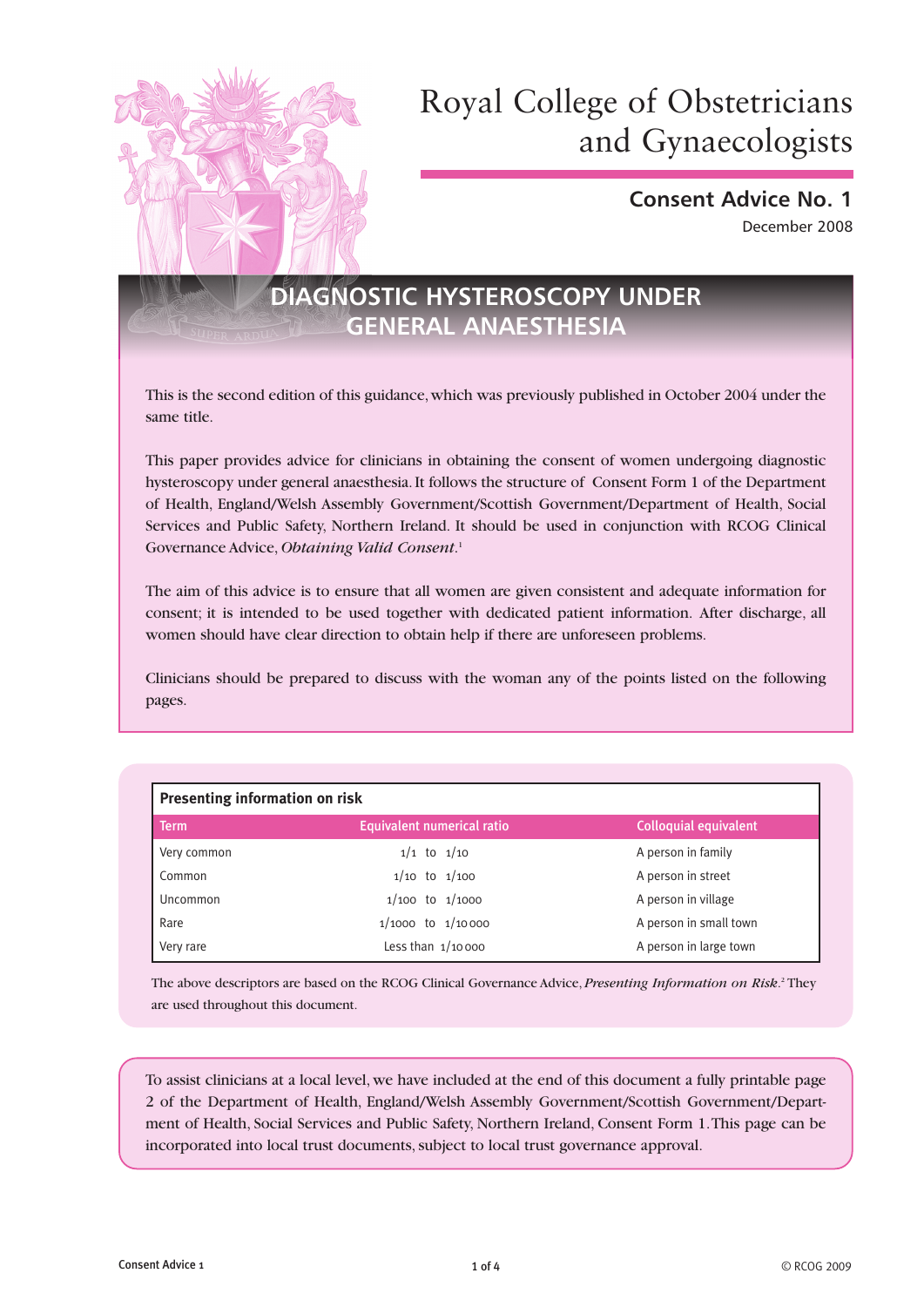

# **Consent Advice No. 1**

December 2008

## **DIAGNOSTIC HYSTEROSCOPY UNDER GENERAL ANAESTHESIA**

This is the second edition of this guidance, which was previously published in October 2004 under the same title.

This paper provides advice for clinicians in obtaining the consent of women undergoing diagnostic hysteroscopy under general anaesthesia. It follows the structure of Consent Form 1 of the Department of Health, England/Welsh Assembly Government/Scottish Government/Department of Health, Social Services and Public Safety, Northern Ireland. It should be used in conjunction with RCOG Clinical Governance Advice, *Obtaining Valid Consent*. 1

The aim of this advice is to ensure that all women are given consistent and adequate information for consent; it is intended to be used together with dedicated patient information. After discharge, all women should have clear direction to obtain help if there are unforeseen problems.

Clinicians should be prepared to discuss with the woman any of the points listed on the following pages.

| <b>Presenting information on risk</b> |                            |                              |  |  |
|---------------------------------------|----------------------------|------------------------------|--|--|
| <b>Term</b>                           | Equivalent numerical ratio | <b>Colloquial equivalent</b> |  |  |
| Very common                           | $1/1$ to $1/10$            | A person in family           |  |  |
| Common                                | $1/10$ to $1/100$          | A person in street           |  |  |
| Uncommon                              | $1/100$ to $1/1000$        | A person in village          |  |  |
| Rare                                  | $1/1000$ to $1/10000$      | A person in small town       |  |  |
| Very rare                             | Less than $1/10000$        | A person in large town       |  |  |

The above descriptors are based on the RCOG Clinical Governance Advice, *Presenting Information on Risk*. 2 They are used throughout this document.

To assist clinicians at a local level, we have included at the end of this document a fully printable page 2 of the Department of Health, England/Welsh Assembly Government/Scottish Government/Department of Health, Social Services and Public Safety, Northern Ireland, Consent Form 1. This page can be incorporated into local trust documents, subject to local trust governance approval.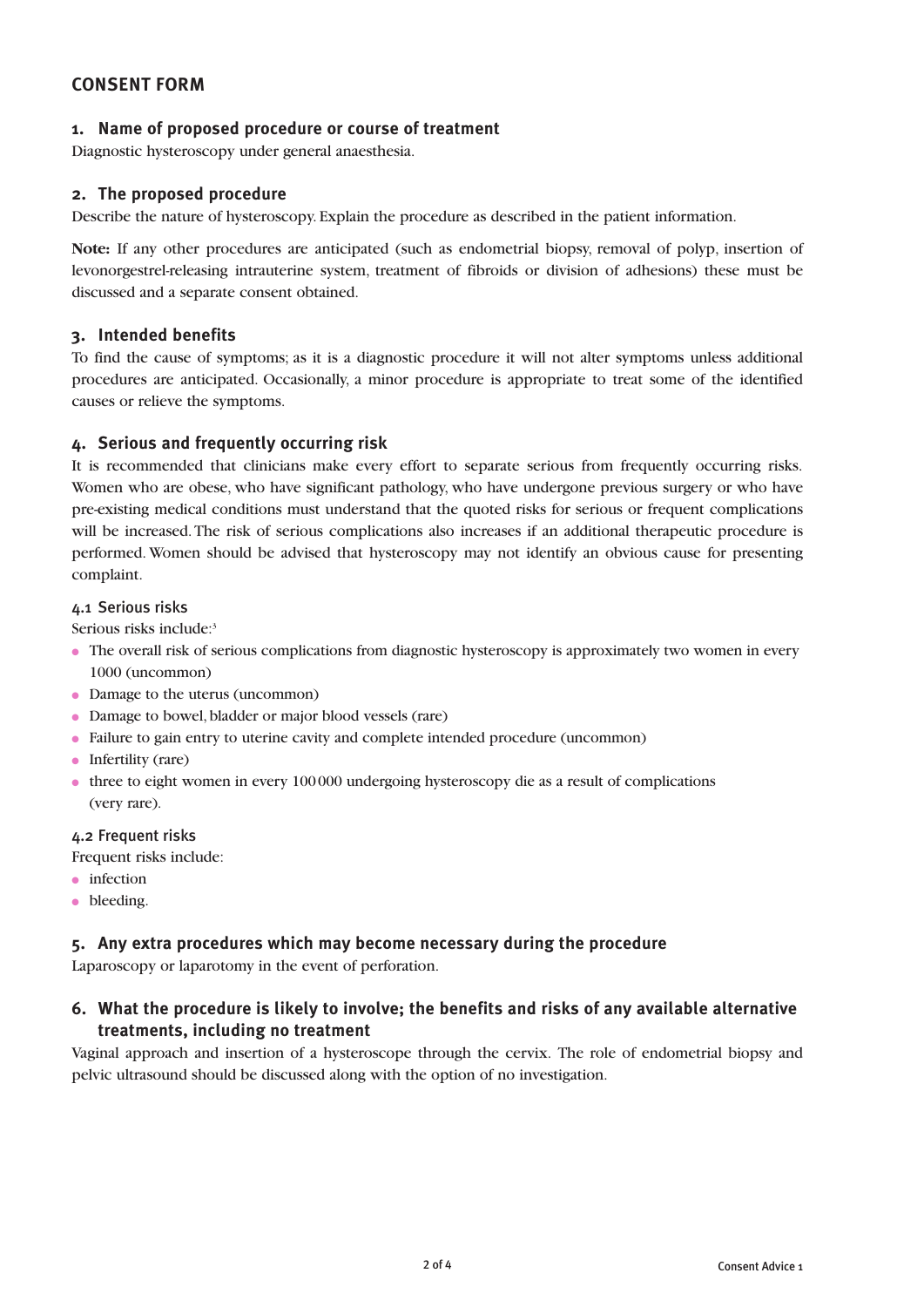#### **CONSENT FORM**

#### **1. Name of proposed procedure or course of treatment**

Diagnostic hysteroscopy under general anaesthesia.

#### **2. The proposed procedure**

Describe the nature of hysteroscopy. Explain the procedure as described in the patient information.

**Note:** If any other procedures are anticipated (such as endometrial biopsy, removal of polyp, insertion of levonorgestrel-releasing intrauterine system, treatment of fibroids or division of adhesions) these must be discussed and a separate consent obtained.

#### **3. Intended benefits**

To find the cause of symptoms; as it is a diagnostic procedure it will not alter symptoms unless additional procedures are anticipated. Occasionally, a minor procedure is appropriate to treat some of the identified causes or relieve the symptoms.

#### **4. Serious and frequently occurring risk**

It is recommended that clinicians make every effort to separate serious from frequently occurring risks. Women who are obese, who have significant pathology, who have undergone previous surgery or who have pre-existing medical conditions must understand that the quoted risks for serious or frequent complications will be increased. The risk of serious complications also increases if an additional therapeutic procedure is performed. Women should be advised that hysteroscopy may not identify an obvious cause for presenting complaint.

#### 4.1 Serious risks

Serious risks include:3

- The overall risk of serious complications from diagnostic hysteroscopy is approximately two women in every 1000 (uncommon)
- Damage to the uterus (uncommon)
- Damage to bowel, bladder or major blood vessels (rare)
- Failure to gain entry to uterine cavity and complete intended procedure (uncommon)
- Infertility (rare)
- three to eight women in every 100 000 undergoing hysteroscopy die as a result of complications (very rare).

#### 4.2 Frequent risks

Frequent risks include:

- infection
- bleeding.

#### **5. Any extra procedures which may become necessary during the procedure**

Laparoscopy or laparotomy in the event of perforation.

**6. What the procedure is likely to involve; the benefits and risks of any available alternative treatments, including no treatment**

Vaginal approach and insertion of a hysteroscope through the cervix. The role of endometrial biopsy and pelvic ultrasound should be discussed along with the option of no investigation.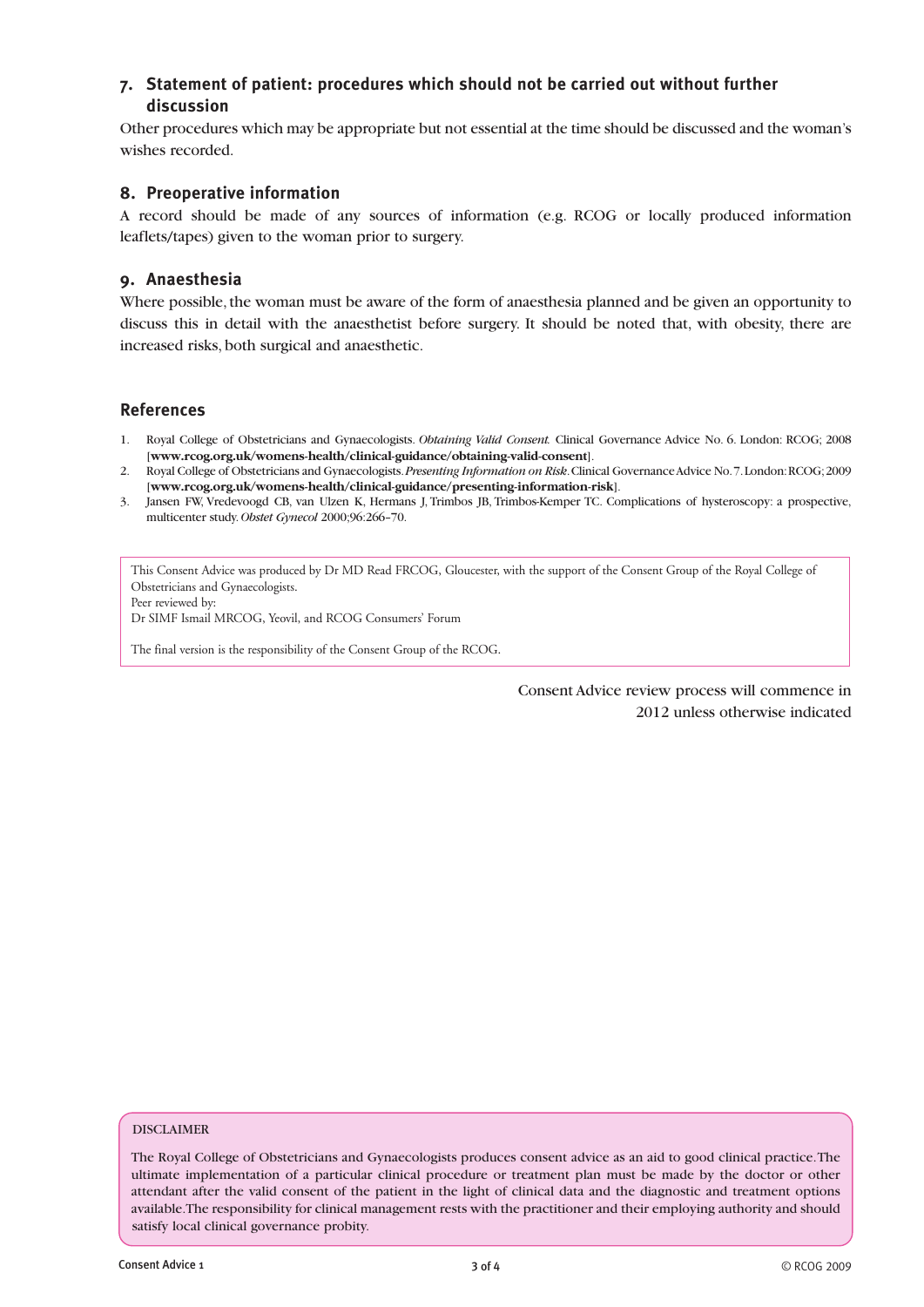#### **7. Statement of patient: procedures which should not be carried out without further discussion**

Other procedures which may be appropriate but not essential at the time should be discussed and the woman's wishes recorded.

#### **8. Preoperative information**

A record should be made of any sources of information (e.g. RCOG or locally produced information leaflets/tapes) given to the woman prior to surgery.

#### **9. Anaesthesia**

Where possible, the woman must be aware of the form of anaesthesia planned and be given an opportunity to discuss this in detail with the anaesthetist before surgery. It should be noted that, with obesity, there are increased risks, both surgical and anaesthetic.

#### **References**

- 1. Royal College of Obstetricians and Gynaecologists. *Obtaining Valid Consent.* Clinical Governance Advice No. 6. London: RCOG; 2008 [**www.rcog.org.uk/womens-health/clinical-guidance/obtaining-valid-consent**].
- 2. Royal College of Obstetricians and Gynaecologists. *Presenting Information on Risk*. Clinical Governance Advice No. 7. London: RCOG; 2009 [**www.rcog.org.uk/womens-health/clinical-guidance/presenting-information-risk**].
- 3. Jansen FW, Vredevoogd CB, van Ulzen K, Hermans J, Trimbos JB, Trimbos-Kemper TC. Complications of hysteroscopy: a prospective, multicenter study. *Obstet Gynecol* 2000;96:266–70.

This Consent Advice was produced by Dr MD Read FRCOG, Gloucester, with the support of the Consent Group of the Royal College of Obstetricians and Gynaecologists. Peer reviewed by:

Dr SIMF Ismail MRCOG, Yeovil, and RCOG Consumers' Forum

The final version is the responsibility of the Consent Group of the RCOG.

Consent Advice review process will commence in 2012 unless otherwise indicated

#### DISCLAIMER

The Royal College of Obstetricians and Gynaecologists produces consent advice as an aid to good clinical practice. The ultimate implementation of a particular clinical procedure or treatment plan must be made by the doctor or other attendant after the valid consent of the patient in the light of clinical data and the diagnostic and treatment options available. The responsibility for clinical management rests with the practitioner and their employing authority and should satisfy local clinical governance probity.